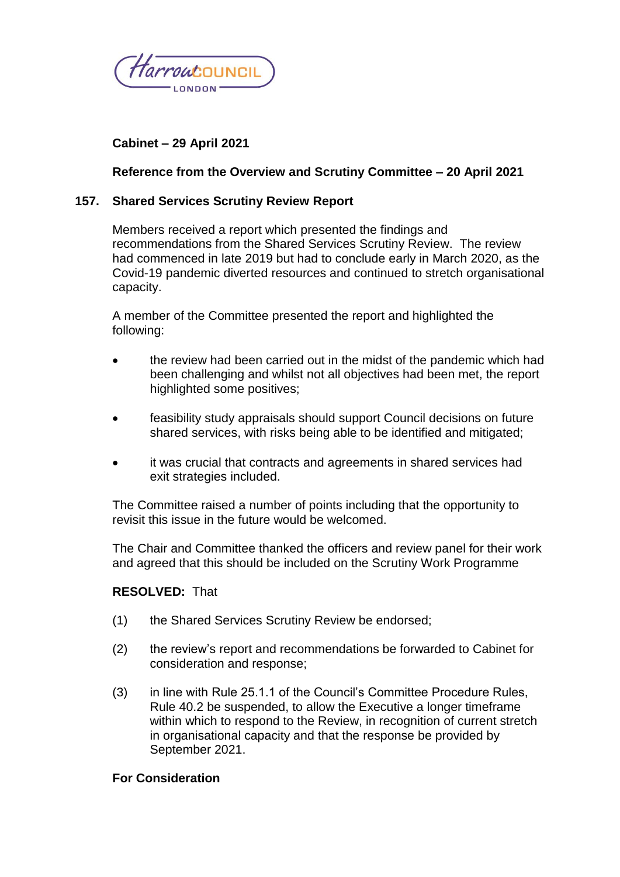

# **Cabinet – 29 April 2021**

### **Reference from the Overview and Scrutiny Committee – 20 April 2021**

### **157. Shared Services Scrutiny Review Report**

Members received a report which presented the findings and recommendations from the Shared Services Scrutiny Review. The review had commenced in late 2019 but had to conclude early in March 2020, as the Covid-19 pandemic diverted resources and continued to stretch organisational capacity.

A member of the Committee presented the report and highlighted the following:

- the review had been carried out in the midst of the pandemic which had been challenging and whilst not all objectives had been met, the report highlighted some positives;
- feasibility study appraisals should support Council decisions on future shared services, with risks being able to be identified and mitigated;
- it was crucial that contracts and agreements in shared services had exit strategies included.

The Committee raised a number of points including that the opportunity to revisit this issue in the future would be welcomed.

The Chair and Committee thanked the officers and review panel for their work and agreed that this should be included on the Scrutiny Work Programme

#### **RESOLVED:** That

- (1) the Shared Services Scrutiny Review be endorsed;
- (2) the review's report and recommendations be forwarded to Cabinet for consideration and response;
- (3) in line with Rule 25.1.1 of the Council's Committee Procedure Rules, Rule 40.2 be suspended, to allow the Executive a longer timeframe within which to respond to the Review, in recognition of current stretch in organisational capacity and that the response be provided by September 2021.

### **For Consideration**